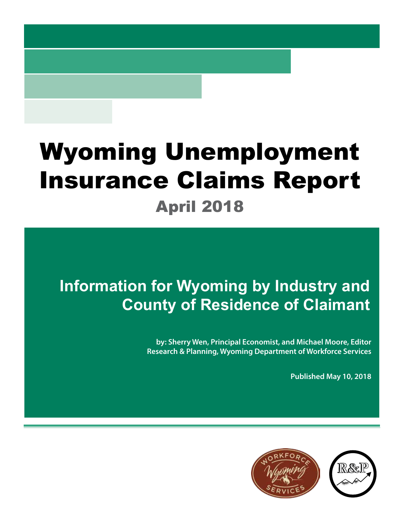# Wyoming Unemployment Insurance Claims Report

April 2018

## **Information for Wyoming by Industry and County of Residence of Claimant**

**by: Sherry Wen, Principal Economist, and Michael Moore, Editor Research & Planning, Wyoming Department of Workforce Services**

**Published May 10, 2018**

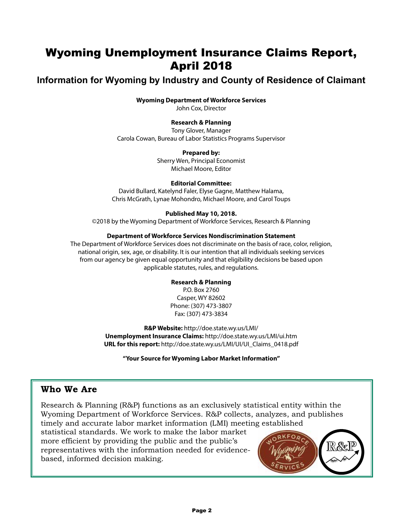## Wyoming Unemployment Insurance Claims Report, April 2018

## **Information for Wyoming by Industry and County of Residence of Claimant**

#### **Wyoming Department of Workforce Services**

John Cox, Director

#### **Research & Planning**

Tony Glover, Manager Carola Cowan, Bureau of Labor Statistics Programs Supervisor

#### **Prepared by:**

Sherry Wen, Principal Economist Michael Moore, Editor

#### **Editorial Committee:**

David Bullard, Katelynd Faler, Elyse Gagne, Matthew Halama, Chris McGrath, Lynae Mohondro, Michael Moore, and Carol Toups

#### **Published May 10, 2018.**

©2018 by the Wyoming Department of Workforce Services, Research & Planning

#### **Department of Workforce Services Nondiscrimination Statement**

The Department of Workforce Services does not discriminate on the basis of race, color, religion, national origin, sex, age, or disability. It is our intention that all individuals seeking services from our agency be given equal opportunity and that eligibility decisions be based upon applicable statutes, rules, and regulations.

#### **Research & Planning**

P.O. Box 2760 Casper, WY 82602 Phone: (307) 473-3807 Fax: (307) 473-3834

**R&P Website:** http://doe.state.wy.us/LMI/ **Unemployment Insurance Claims:** http://doe.state.wy.us/LMI/ui.htm **URL for this report:** http://doe.state.wy.us/LMI/UI/UI\_Claims\_0418.pdf

**"Your Source for Wyoming Labor Market Information"**

### **Who We Are**

Research & Planning (R&P) functions as an exclusively statistical entity within the Wyoming Department of Workforce Services. R&P collects, analyzes, and publishes timely and accurate labor market information (LMI) meeting established

statistical standards. We work to make the labor market more efficient by providing the public and the public's representatives with the information needed for evidencebased, informed decision making.

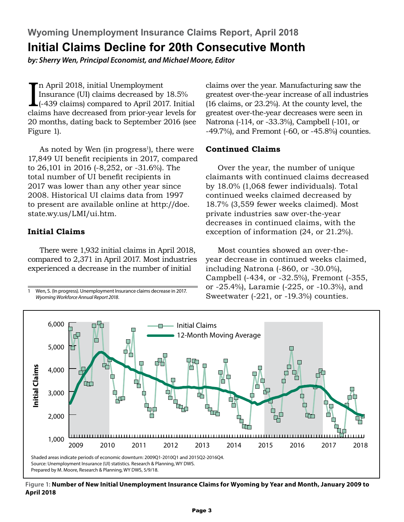**Wyoming Unemployment Insurance Claims Report, April 2018 Initial Claims Decline for 20th Consecutive Month**

*by: Sherry Wen, Principal Economist, and Michael Moore, Editor*

In April 2018, initial Unemployment<br>Insurance (UI) claims decreased by 18.5%<br>(-439 claims) compared to April 2017. Initial<br>claims have decreased from prior-year levels for n April 2018, initial Unemployment Insurance (UI) claims decreased by 18.5% (-439 claims) compared to April 2017. Initial 20 months, dating back to September 2016 (see Figure 1).

As noted by Wen (in progress<sup>1</sup>), there were 17,849 UI benefit recipients in 2017, compared to 26,101 in 2016 (-8,252, or -31.6%). The total number of UI benefit recipients in 2017 was lower than any other year since 2008. Historical UI claims data from 1997 to present are available online at http://doe. state.wy.us/LMI/ui.htm.

#### **Initial Claims**

There were 1,932 initial claims in April 2018, compared to 2,371 in April 2017. Most industries experienced a decrease in the number of initial

Wen, S. (In progress). Unemployment Insurance claims decrease in 2017. *Wyoming Workforce Annual Report 2018*.

claims over the year. Manufacturing saw the greatest over-the-year increase of all industries (16 claims, or 23.2%). At the county level, the greatest over-the-year decreases were seen in Natrona (-114, or -33.3%), Campbell (-101, or -49.7%), and Fremont (-60, or -45.8%) counties.

#### **Continued Claims**

Over the year, the number of unique claimants with continued claims decreased by 18.0% (1,068 fewer individuals). Total continued weeks claimed decreased by 18.7% (3,559 fewer weeks claimed). Most private industries saw over-the-year decreases in continued claims, with the exception of information (24, or 21.2%).

Most counties showed an over-theyear decrease in continued weeks claimed, including Natrona (-860, or -30.0%), Campbell (-434, or -32.5%), Fremont (-355, or -25.4%), Laramie (-225, or -10.3%), and Sweetwater (-221, or -19.3%) counties.



**Figure 1: Number of New Initial Unemployment Insurance Claims for Wyoming by Year and Month, January 2009 to April 2018**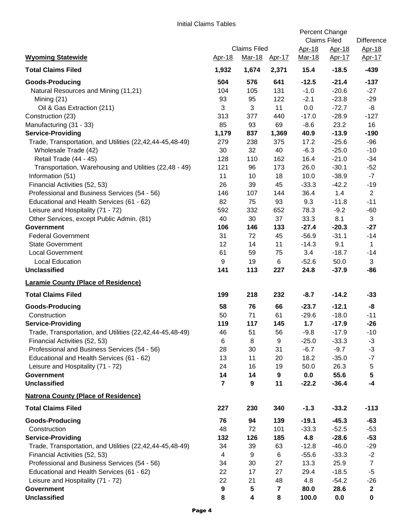|                                                          |                |                                                       |       | Percent Change<br><b>Claims Filed</b> |                                | <b>Difference</b><br><u>Apr-18</u><br>Apr-17 |
|----------------------------------------------------------|----------------|-------------------------------------------------------|-------|---------------------------------------|--------------------------------|----------------------------------------------|
| <b>Wyoming Statewide</b>                                 | Apr-18         | <b>Claims Filed</b><br><u>Mar-18</u><br><u>Apr-17</u> |       | Apr-18<br>Mar-18                      | <u>Apr-18</u><br><u>Apr-17</u> |                                              |
| <b>Total Claims Filed</b>                                | 1,932          | 1,674                                                 | 2,371 | 15.4                                  | $-18.5$                        | $-439$                                       |
| <b>Goods-Producing</b>                                   | 504            | 576                                                   | 641   | $-12.5$                               | $-21.4$                        | $-137$                                       |
| Natural Resources and Mining (11,21)                     | 104            | 105                                                   | 131   | $-1.0$                                | $-20.6$                        | $-27$                                        |
| Mining (21)                                              | 93             | 95                                                    | 122   | $-2.1$                                | $-23.8$                        | $-29$                                        |
| Oil & Gas Extraction (211)                               | 3              | 3                                                     | 11    | 0.0                                   | $-72.7$                        | -8                                           |
| Construction (23)                                        | 313            | 377                                                   | 440   | $-17.0$                               | $-28.9$                        | $-127$                                       |
| Manufacturing (31 - 33)                                  | 85             | 93                                                    | 69    | $-8.6$                                | 23.2                           | 16                                           |
| <b>Service-Providing</b>                                 | 1,179          | 837                                                   | 1,369 | 40.9                                  | $-13.9$                        | $-190$                                       |
| Trade, Transportation, and Utilities (22,42,44-45,48-49) | 279            | 238                                                   | 375   | 17.2                                  | $-25.6$                        | $-96$                                        |
| Wholesale Trade (42)                                     | 30             | 32                                                    | 40    | $-6.3$                                | $-25.0$                        | $-10$                                        |
| Retail Trade (44 - 45)                                   | 128            | 110                                                   | 162   | 16.4                                  | $-21.0$                        | $-34$                                        |
| Transportation, Warehousing and Utilities (22,48 - 49)   | 121            | 96                                                    | 173   | 26.0                                  | $-30.1$                        | $-52$                                        |
| Information (51)                                         | 11             | 10                                                    | 18    | 10.0                                  | $-38.9$                        | $-7$                                         |
| Financial Activities (52, 53)                            | 26             | 39                                                    | 45    | $-33.3$                               | $-42.2$                        | $-19$                                        |
| Professional and Business Services (54 - 56)             | 146            | 107                                                   | 144   | 36.4                                  | 1.4                            | $\overline{2}$                               |
| Educational and Health Services (61 - 62)                | 82             | 75                                                    | 93    | 9.3                                   | $-11.8$                        | $-11$                                        |
| Leisure and Hospitality (71 - 72)                        | 592            | 332                                                   | 652   | 78.3                                  | $-9.2$                         | $-60$                                        |
| Other Services, except Public Admin. (81)                | 40             | 30                                                    | 37    | 33.3                                  | 8.1                            | 3                                            |
| <b>Government</b>                                        | 106            | 146                                                   | 133   | $-27.4$                               | $-20.3$                        | $-27$                                        |
| <b>Federal Government</b>                                | 31             | 72                                                    | 45    | $-56.9$                               | $-31.1$                        | $-14$                                        |
| <b>State Government</b>                                  | 12             | 14                                                    | 11    | $-14.3$                               | 9.1                            | $\mathbf{1}$                                 |
| <b>Local Government</b>                                  | 61             | 59                                                    | 75    | 3.4                                   | $-18.7$                        | $-14$                                        |
| <b>Local Education</b>                                   | 9              | 19                                                    | 6     | $-52.6$                               | 50.0                           | 3                                            |
| <b>Unclassified</b>                                      | 141            | 113                                                   | 227   | 24.8                                  | $-37.9$                        | $-86$                                        |
| <b>Laramie County (Place of Residence)</b>               |                |                                                       |       |                                       |                                |                                              |
| <b>Total Claims Filed</b>                                | 199            | 218                                                   | 232   | $-8.7$                                | $-14.2$                        | $-33$                                        |
| <b>Goods-Producing</b>                                   | 58             | 76                                                    | 66    | $-23.7$                               | $-12.1$                        | -8                                           |
| Construction                                             | 50             | 71                                                    | 61    | $-29.6$                               | $-18.0$                        | $-11$                                        |
| <b>Service-Providing</b>                                 | 119            | 117                                                   | 145   | 1.7                                   | $-17.9$                        | $-26$                                        |
| Trade, Transportation, and Utilities (22,42,44-45,48-49) | 46             | 51                                                    | 56    | $-9.8$                                | $-17.9$                        | $-10$                                        |
| Financial Activities (52, 53)                            | 6              | 8                                                     | 9     | $-25.0$                               | $-33.3$                        | $-3$                                         |
| Professional and Business Services (54 - 56)             | 28             | 30                                                    | 31    | $-6.7$                                | $-9.7$                         | $-3$                                         |
| Educational and Health Services (61 - 62)                | 13             | 11                                                    | 20    | 18.2                                  | $-35.0$                        | $-7$                                         |
| Leisure and Hospitality (71 - 72)                        | 24             | 16                                                    | 19    | 50.0                                  | 26.3                           | 5                                            |
| <b>Government</b>                                        | 14             | 14                                                    | 9     | 0.0                                   | 55.6                           | $5\phantom{.0}$                              |
| <b>Unclassified</b>                                      | $\overline{7}$ | 9                                                     | 11    | $-22.2$                               | $-36.4$                        | $-4$                                         |
| <b>Natrona County (Place of Residence)</b>               |                |                                                       |       |                                       |                                |                                              |
| <b>Total Claims Filed</b>                                | 227            | 230                                                   | 340   | $-1.3$                                | $-33.2$                        | $-113$                                       |
| <b>Goods-Producing</b>                                   | 76             | 94                                                    | 139   | $-19.1$                               | $-45.3$                        | $-63$                                        |
| Construction                                             | 48             | 72                                                    | 101   | $-33.3$                               | $-52.5$                        | $-53$                                        |
| <b>Service-Providing</b>                                 | 132            | 126                                                   | 185   | 4.8                                   | $-28.6$                        | $-53$                                        |
| Trade, Transportation, and Utilities (22,42,44-45,48-49) | 34             | 39                                                    | 63    | $-12.8$                               | $-46.0$                        | $-29$                                        |
| Financial Activities (52, 53)                            | 4              | 9                                                     | 6     | $-55.6$                               | $-33.3$                        | $-2$                                         |
| Professional and Business Services (54 - 56)             | 34             | 30                                                    | 27    | 13.3                                  | 25.9                           | $\overline{7}$                               |
| Educational and Health Services (61 - 62)                | 22             | 17                                                    | 27    | 29.4                                  | $-18.5$                        | $-5$                                         |
| Leisure and Hospitality (71 - 72)                        | 22             | 21                                                    | 48    | 4.8                                   | $-54.2$                        | $-26$                                        |
| <b>Government</b>                                        | 9              | 5                                                     | 7     | 80.0                                  | 28.6                           | $\mathbf{2}$                                 |
| <b>Unclassified</b>                                      | 8              | $\overline{\mathbf{4}}$                               | 8     | 100.0                                 | 0.0                            | $\mathbf 0$                                  |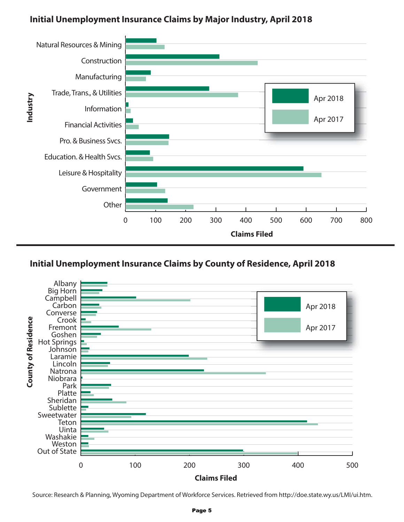## **Initial Unemployment Insurance Claims by Major Industry, April 2018**



## **Initial Unemployment Insurance Claims by County of Residence, April 2018**



Source: Research & Planning, Wyoming Department of Workforce Services. Retrieved from http://doe.state.wy.us/LMI/ui.htm.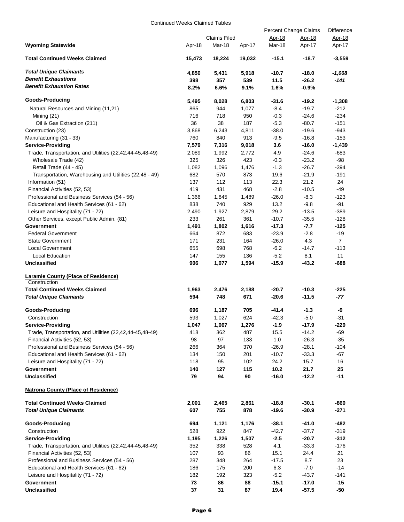Continued Weeks Claimed Tables

|                                                                                           |              | Percent Change Claims         | Difference    |                  |                         |                  |
|-------------------------------------------------------------------------------------------|--------------|-------------------------------|---------------|------------------|-------------------------|------------------|
| <b>Wyoming Statewide</b>                                                                  | Apr-18       | <b>Claims Filed</b><br>Mar-18 | <u>Apr-17</u> | Apr-18<br>Mar-18 | Apr-18<br><u>Apr-17</u> | Apr-18<br>Apr-17 |
| <b>Total Continued Weeks Claimed</b>                                                      | 15,473       | 18,224                        | 19,032        | $-15.1$          | $-18.7$                 | $-3,559$         |
| <b>Total Unique Claimants</b>                                                             | 4,850        | 5,431                         | 5,918         | $-10.7$          | $-18.0$                 | $-1,068$         |
| <b>Benefit Exhaustions</b>                                                                | 398          | 357                           | 539           | 11.5             | $-26.2$                 | -141             |
| <b>Benefit Exhaustion Rates</b>                                                           | 8.2%         | 6.6%                          | 9.1%          | 1.6%             | -0.9%                   |                  |
| Goods-Producing                                                                           | 5,495        | 8,028                         | 6,803         | -31.6            | $-19.2$                 | $-1,308$         |
| Natural Resources and Mining (11,21)                                                      | 865          | 944                           | 1,077         | $-8.4$           | $-19.7$                 | $-212$           |
| Mining (21)                                                                               | 716          | 718                           | 950           | $-0.3$           | $-24.6$                 | $-234$           |
| Oil & Gas Extraction (211)                                                                | 36           | 38                            | 187           | $-5.3$           | $-80.7$                 | $-151$           |
| Construction (23)                                                                         | 3,868        | 6,243                         | 4,811         | $-38.0$          | $-19.6$                 | -943             |
| Manufacturing (31 - 33)                                                                   | 760          | 840                           | 913           | $-9.5$           | $-16.8$                 | $-153$           |
| <b>Service-Providing</b>                                                                  | 7,579        | 7,316                         | 9,018         | 3.6              | $-16.0$                 | $-1,439$         |
| Trade, Transportation, and Utilities (22,42,44-45,48-49)                                  | 2,089        | 1,992                         | 2,772         | 4.9              | $-24.6$                 | $-683$           |
| Wholesale Trade (42)                                                                      | 325          | 326                           | 423           | $-0.3$           | $-23.2$                 | $-98$            |
| Retail Trade (44 - 45)                                                                    | 1,082        | 1,096                         | 1,476         | $-1.3$           | $-26.7$                 | $-394$           |
| Transportation, Warehousing and Utilities (22,48 - 49)                                    | 682          | 570                           | 873           | 19.6             | $-21.9$                 | $-191$           |
| Information (51)                                                                          | 137          | 112                           | 113           | 22.3             | 21.2                    | 24               |
| Financial Activities (52, 53)                                                             | 419          | 431                           | 468           | $-2.8$           | $-10.5$                 | -49              |
| Professional and Business Services (54 - 56)<br>Educational and Health Services (61 - 62) | 1,366        | 1,845                         | 1,489         | $-26.0$          | $-8.3$                  | $-123$           |
|                                                                                           | 838          | 740<br>1,927                  | 929<br>2,879  | 13.2<br>29.2     | $-9.8$<br>$-13.5$       | -91<br>$-389$    |
| Leisure and Hospitality (71 - 72)<br>Other Services, except Public Admin. (81)            | 2,490<br>233 | 261                           | 361           | $-10.7$          | $-35.5$                 | $-128$           |
| Government                                                                                | 1,491        | 1,802                         | 1,616         | $-17.3$          | -7.7                    | $-125$           |
| <b>Federal Government</b>                                                                 | 664          | 872                           | 683           | $-23.9$          | $-2.8$                  | $-19$            |
| <b>State Government</b>                                                                   | 171          | 231                           | 164           | $-26.0$          | 4.3                     | $\overline{7}$   |
| <b>Local Government</b>                                                                   | 655          | 698                           | 768           | $-6.2$           | $-14.7$                 | $-113$           |
| Local Education                                                                           | 147          | 155                           | 136           | $-5.2$           | 8.1                     | 11               |
| Unclassified                                                                              | 906          | 1,077                         | 1,594         | $-15.9$          | $-43.2$                 | -688             |
| <b>Laramie County (Place of Residence)</b><br>Construction                                |              |                               |               |                  |                         |                  |
| <b>Total Continued Weeks Claimed</b>                                                      | 1,963        | 2,476                         | 2,188         | $-20.7$          | $-10.3$                 | -225             |
| <b>Total Unique Claimants</b>                                                             | 594          | 748                           | 671           | $-20.6$          | $-11.5$                 | -77              |
| <b>Goods-Producing</b>                                                                    | 696          | 1,187                         | 705           | $-41.4$          | -1.3                    | -9               |
| Construction                                                                              | 593          | 1.027                         | 624           | $-42.3$          | $-5.0$                  | $-31$            |
| <b>Service-Providing</b>                                                                  | 1,047        | 1,067                         | 1,276         | $-1.9$           | $-17.9$                 | $-229$           |
| Trade, Transportation, and Utilities (22,42,44-45,48-49)                                  | 418          | 362                           | 487           | 15.5             | $-14.2$                 | $-69$            |
| Financial Activities (52, 53)                                                             | 98           | 97                            | 133           | $1.0\,$          | $-26.3$                 | $-35$            |
| Professional and Business Services (54 - 56)                                              | 266          | 364                           | 370           | $-26.9$          | $-28.1$                 | $-104$           |
| Educational and Health Services (61 - 62)                                                 | 134          | 150                           | 201           | $-10.7$          | $-33.3$                 | -67              |
| Leisure and Hospitality (71 - 72)                                                         | 118          | 95                            | 102           | 24.2             | 15.7                    | 16               |
| Government<br>Unclassified                                                                | 140<br>79    | 127<br>94                     | 115<br>90     | 10.2<br>$-16.0$  | 21.7<br>$-12.2$         | 25<br>$-11$      |
| <b>Natrona County (Place of Residence)</b>                                                |              |                               |               |                  |                         |                  |
| <b>Total Continued Weeks Claimed</b>                                                      | 2,001        | 2,465                         | 2,861         | $-18.8$          | $-30.1$                 | -860             |
| <b>Total Unique Claimants</b>                                                             | 607          | 755                           | 878           | $-19.6$          | $-30.9$                 | $-271$           |
| Goods-Producing                                                                           | 694          | 1,121                         | 1,176         | $-38.1$          | $-41.0$                 | -482             |
| Construction                                                                              | 528          | 922                           | 847           | $-42.7$          | $-37.7$                 | $-319$           |
| <b>Service-Providing</b>                                                                  | 1,195        | 1,226                         | 1,507         | $-2.5$           | $-20.7$                 | $-312$           |
| Trade, Transportation, and Utilities (22,42,44-45,48-49)                                  | 352          | 338                           | 528           | 4.1              | $-33.3$                 | $-176$           |
| Financial Activities (52, 53)                                                             | 107          | 93                            | 86            | 15.1             | 24.4                    | 21               |
| Professional and Business Services (54 - 56)                                              | 287          | 348                           | 264           | $-17.5$          | 8.7                     | 23               |
| Educational and Health Services (61 - 62)                                                 | 186          | 175                           | 200           | 6.3              | $-7.0$                  | $-14$            |
| Leisure and Hospitality (71 - 72)                                                         | 182          | 192                           | 323           | $-5.2$           | $-43.7$                 | $-141$           |
| Government<br><b>Unclassified</b>                                                         | 73<br>37     | 86                            | 88<br>87      | $-15.1$          | $-17.0$                 | $-15$<br>$-50$   |
|                                                                                           |              | 31                            |               | 19.4             | $-57.5$                 |                  |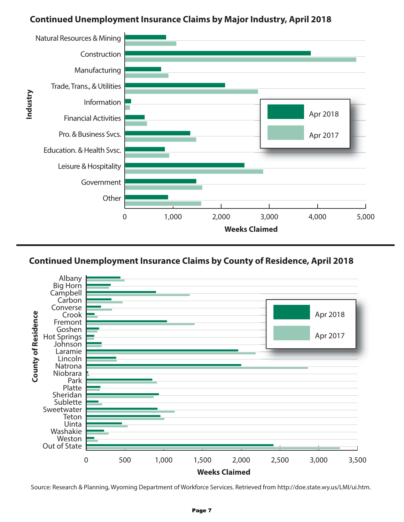## **Continued Unemployment Insurance Claims by Major Industry, April 2018**





Source: Research & Planning, Wyoming Department of Workforce Services. Retrieved from http://doe.state.wy.us/LMI/ui.htm.